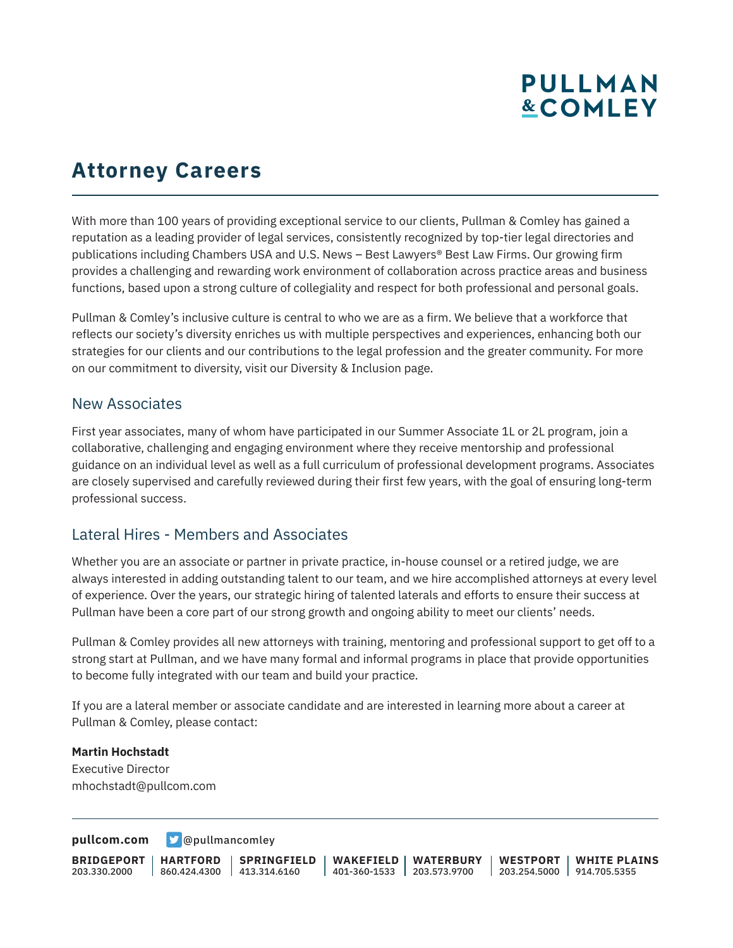# **PULLMAN &COMLEY**

## **Attorney Careers**

With more than 100 years of providing exceptional service to our clients, Pullman & Comley has gained a reputation as a leading provider of legal services, consistently recognized by top-tier legal directories and publications including Chambers USA and U.S. News – Best Lawyers® Best Law Firms. Our growing firm provides a challenging and rewarding work environment of collaboration across practice areas and business functions, based upon a strong culture of collegiality and respect for both professional and personal goals.

Pullman & Comley's inclusive culture is central to who we are as a firm. We believe that a workforce that reflects our society's diversity enriches us with multiple perspectives and experiences, enhancing both our strategies for our clients and our contributions to the legal profession and the greater community. For more on our commitment to diversity, visit our Diversity & Inclusion page.

#### New Associates

First year associates, many of whom have participated in our Summer Associate 1L or 2L program, join a collaborative, challenging and engaging environment where they receive mentorship and professional guidance on an individual level as well as a full curriculum of professional development programs. Associates are closely supervised and carefully reviewed during their first few years, with the goal of ensuring long-term professional success.

### Lateral Hires - Members and Associates

Whether you are an associate or partner in private practice, in-house counsel or a retired judge, we are always interested in adding outstanding talent to our team, and we hire accomplished attorneys at every level of experience. Over the years, our strategic hiring of talented laterals and efforts to ensure their success at Pullman have been a core part of our strong growth and ongoing ability to meet our clients' needs.

Pullman & Comley provides all new attorneys with training, mentoring and professional support to get off to a strong start at Pullman, and we have many formal and informal programs in place that provide opportunities to become fully integrated with our team and build your practice.

If you are a lateral member or associate candidate and are interested in learning more about a career at Pullman & Comley, please contact:

#### **Martin Hochstadt**

Executive Director mhochstadt@pullcom.com

**[pullcom.com](https://www.pullcom.com) g** [@pullmancomley](https://twitter.com/PullmanComley)

**BRIDGEPORT** 203.330.2000 **HARTFORD** 860.424.4300 413.314.6160 **SPRINGFIELD WAKEFIELD WATERBURY** 401-360-1533 203.573.9700 **WESTPORT WHITE PLAINS** 203.254.5000 914.705.5355